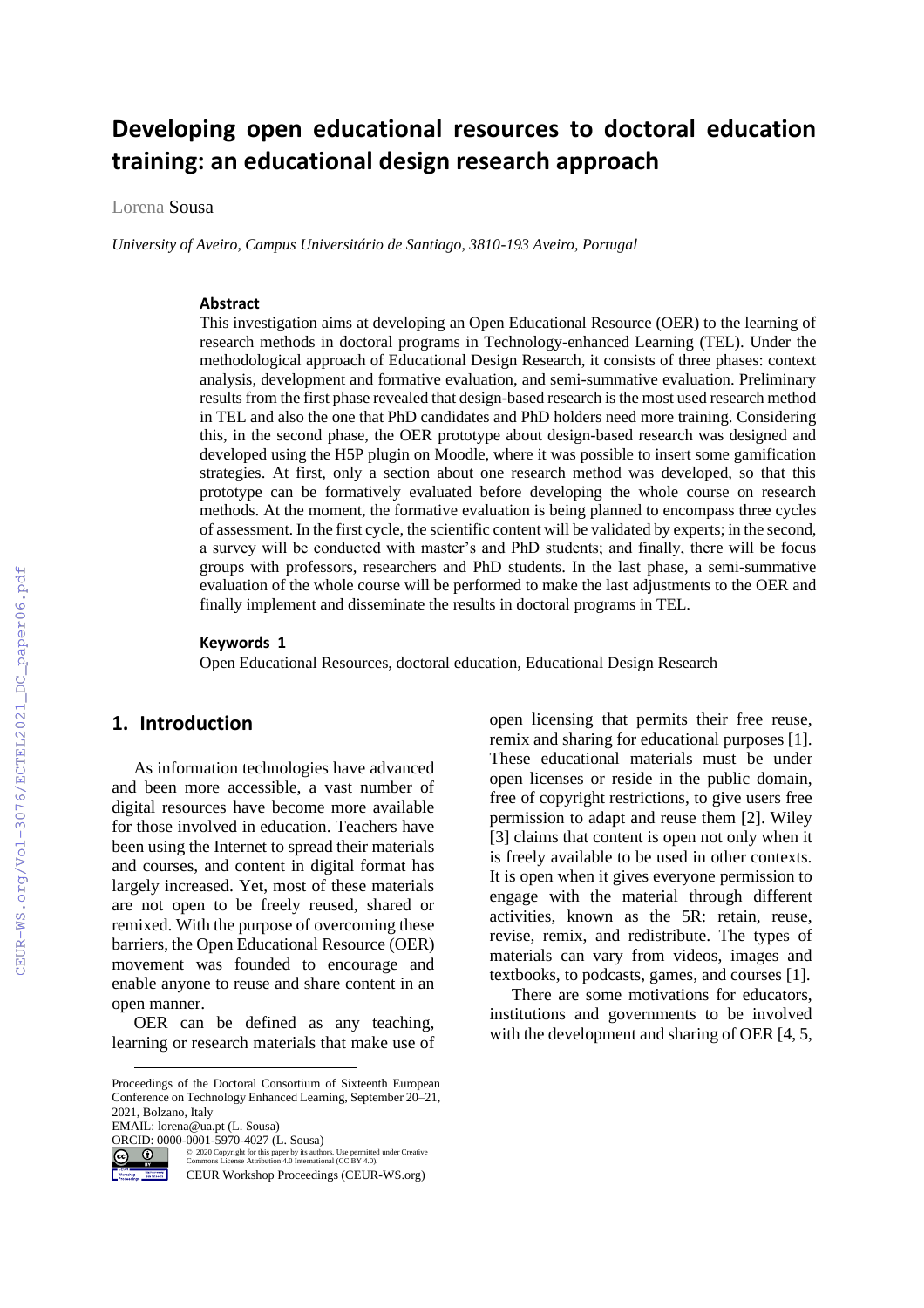# **Developing open educational resources to doctoral education training: an educational design research approach**

Lorena Sousa

*University of Aveiro, Campus Universitário de Santiago, 3810-193 Aveiro, Portugal* 

#### **Abstract**

This investigation aims at developing an Open Educational Resource (OER) to the learning of research methods in doctoral programs in Technology-enhanced Learning (TEL). Under the methodological approach of Educational Design Research, it consists of three phases: context analysis, development and formative evaluation, and semi-summative evaluation. Preliminary results from the first phase revealed that design-based research is the most used research method in TEL and also the one that PhD candidates and PhD holders need more training. Considering this, in the second phase, the OER prototype about design-based research was designed and developed using the H5P plugin on Moodle, where it was possible to insert some gamification strategies. At first, only a section about one research method was developed, so that this prototype can be formatively evaluated before developing the whole course on research methods. At the moment, the formative evaluation is being planned to encompass three cycles of assessment. In the first cycle, the scientific content will be validated by experts; in the second, a survey will be conducted with master's and PhD students; and finally, there will be focus groups with professors, researchers and PhD students. In the last phase, a semi-summative evaluation of the whole course will be performed to make the last adjustments to the OER and finally implement and disseminate the results in doctoral programs in TEL.

#### **Keywords 1**

Open Educational Resources, doctoral education, Educational Design Research

### **1. Introduction**

As information technologies have advanced and been more accessible, a vast number of digital resources have become more available for those involved in education. Teachers have been using the Internet to spread their materials and courses, and content in digital format has largely increased. Yet, most of these materials are not open to be freely reused, shared or remixed. With the purpose of overcoming these barriers, the Open Educational Resource (OER) movement was founded to encourage and enable anyone to reuse and share content in an open manner.

OER can be defined as any teaching, learning or research materials that make use of

Proceedings of the Doctoral Consortium of Sixteenth European Conference on Technology Enhanced Learning, September 20–21, 2021, Bolzano, Italy

EMAIL: lorena@ua.pt (L. Sousa)

**ORCID:** 0000-0001-5970-4027 (L. Sousa)



©️ 2020 Copyright for this paper by its authors. Use permitted under Creative Commons License Attribution 4.0 International (CC BY 4.0).

CEUR Workshop Proceedings (CEUR-WS.org)

open licensing that permits their free reuse, remix and sharing for educational purposes [1]. These educational materials must be under open licenses or reside in the public domain, free of copyright restrictions, to give users free permission to adapt and reuse them [2]. Wiley [3] claims that content is open not only when it is freely available to be used in other contexts. It is open when it gives everyone permission to engage with the material through different activities, known as the 5R: retain, reuse, revise, remix, and redistribute. The types of materials can vary from videos, images and textbooks, to podcasts, games, and courses [1].

There are some motivations for educators, institutions and governments to be involved with the development and sharing of OER [4, 5,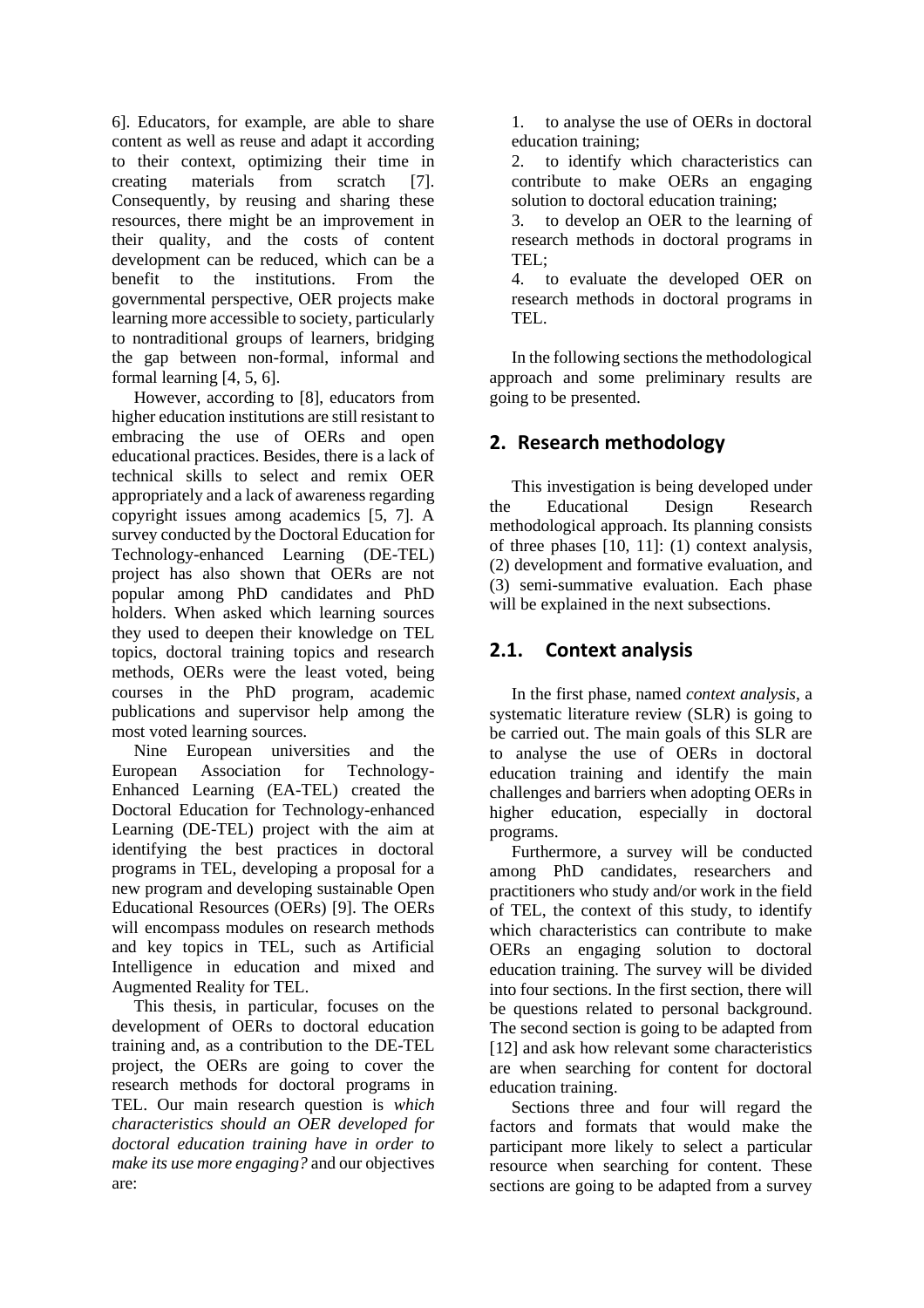6]. Educators, for example, are able to share content as well as reuse and adapt it according to their context, optimizing their time in creating materials from scratch [7]. Consequently, by reusing and sharing these resources, there might be an improvement in their quality, and the costs of content development can be reduced, which can be a benefit to the institutions. From the governmental perspective, OER projects make learning more accessible to society, particularly to nontraditional groups of learners, bridging the gap between non-formal, informal and formal learning [4, 5, 6].

However, according to [8], educators from higher education institutions are still resistant to embracing the use of OERs and open educational practices. Besides, there is a lack of technical skills to select and remix OER appropriately and a lack of awareness regarding copyright issues among academics [5, 7]. A survey conducted by the Doctoral Education for Technology-enhanced Learning (DE-TEL) project has also shown that OERs are not popular among PhD candidates and PhD holders. When asked which learning sources they used to deepen their knowledge on TEL topics, doctoral training topics and research methods, OERs were the least voted, being courses in the PhD program, academic publications and supervisor help among the most voted learning sources.

Nine European universities and the European Association for Technology-Enhanced Learning (EA-TEL) created the Doctoral Education for Technology-enhanced Learning (DE-TEL) project with the aim at identifying the best practices in doctoral programs in TEL, developing a proposal for a new program and developing sustainable Open Educational Resources (OERs) [9]. The OERs will encompass modules on research methods and key topics in TEL, such as Artificial Intelligence in education and mixed and Augmented Reality for TEL.

This thesis, in particular, focuses on the development of OERs to doctoral education training and, as a contribution to the DE-TEL project, the OERs are going to cover the research methods for doctoral programs in TEL. Our main research question is *which characteristics should an OER developed for doctoral education training have in order to make its use more engaging?* and our objectives are:

1. to analyse the use of OERs in doctoral education training;

2. to identify which characteristics can contribute to make OERs an engaging solution to doctoral education training;

3. to develop an OER to the learning of research methods in doctoral programs in TEL;

4. to evaluate the developed OER on research methods in doctoral programs in TEL.

In the following sections the methodological approach and some preliminary results are going to be presented.

# **2. Research methodology**

This investigation is being developed under the Educational Design Research methodological approach. Its planning consists of three phases [10, 11]: (1) context analysis, (2) development and formative evaluation, and (3) semi-summative evaluation. Each phase will be explained in the next subsections.

# **2.1. Context analysis**

In the first phase, named *context analysis*, a systematic literature review (SLR) is going to be carried out. The main goals of this SLR are to analyse the use of OERs in doctoral education training and identify the main challenges and barriers when adopting OERs in higher education, especially in doctoral programs.

Furthermore, a survey will be conducted among PhD candidates, researchers and practitioners who study and/or work in the field of TEL, the context of this study, to identify which characteristics can contribute to make OERs an engaging solution to doctoral education training. The survey will be divided into four sections. In the first section, there will be questions related to personal background. The second section is going to be adapted from [12] and ask how relevant some characteristics are when searching for content for doctoral education training.

Sections three and four will regard the factors and formats that would make the participant more likely to select a particular resource when searching for content. These sections are going to be adapted from a survey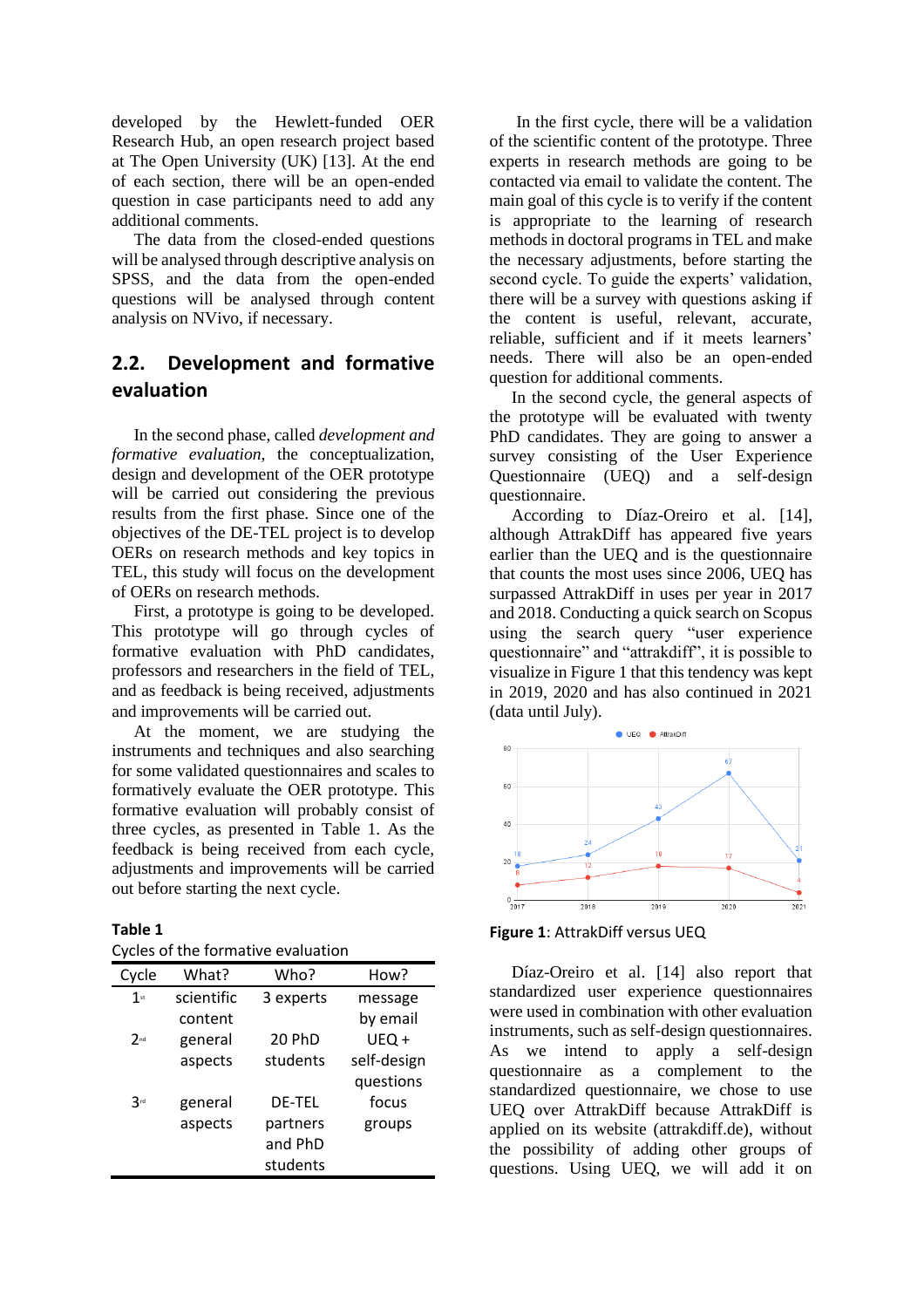developed by the Hewlett-funded OER Research Hub, an open research project based at The Open University (UK) [13]. At the end of each section, there will be an open-ended question in case participants need to add any additional comments.

The data from the closed-ended questions will be analysed through descriptive analysis on SPSS, and the data from the open-ended questions will be analysed through content analysis on NVivo, if necessary.

# **2.2. Development and formative evaluation**

In the second phase, called *development and formative evaluation*, the conceptualization, design and development of the OER prototype will be carried out considering the previous results from the first phase. Since one of the objectives of the DE-TEL project is to develop OERs on research methods and key topics in TEL, this study will focus on the development of OERs on research methods.

First, a prototype is going to be developed. This prototype will go through cycles of formative evaluation with PhD candidates, professors and researchers in the field of TEL, and as feedback is being received, adjustments and improvements will be carried out.

At the moment, we are studying the instruments and techniques and also searching for some validated questionnaires and scales to formatively evaluate the OER prototype. This formative evaluation will probably consist of three cycles, as presented in Table 1. As the feedback is being received from each cycle, adjustments and improvements will be carried out before starting the next cycle.

#### **Table 1**

| Cycles of the formative evaluation |  |
|------------------------------------|--|
|------------------------------------|--|

| Cycle           | What?      | Who?          | How?        |
|-----------------|------------|---------------|-------------|
| $1$ st          | scientific | 3 experts     | message     |
|                 | content    |               | by email    |
| 2 <sub>nd</sub> | general    | 20 PhD        | UEQ+        |
|                 | aspects    | students      | self-design |
|                 |            |               | questions   |
| 3 <sub>rd</sub> | general    | <b>DE-TEL</b> | focus       |
|                 | aspects    | partners      | groups      |
|                 |            | and PhD       |             |
|                 |            | students      |             |

In the first cycle, there will be a validation of the scientific content of the prototype. Three experts in research methods are going to be contacted via email to validate the content. The main goal of this cycle is to verify if the content is appropriate to the learning of research methods in doctoral programs in TEL and make the necessary adjustments, before starting the second cycle. To guide the experts' validation, there will be a survey with questions asking if the content is useful, relevant, accurate, reliable, sufficient and if it meets learners' needs. There will also be an open-ended question for additional comments.

In the second cycle, the general aspects of the prototype will be evaluated with twenty PhD candidates. They are going to answer a survey consisting of the User Experience Questionnaire (UEQ) and a self-design questionnaire.

According to Díaz-Oreiro et al. [14], although AttrakDiff has appeared five years earlier than the UEQ and is the questionnaire that counts the most uses since 2006, UEQ has surpassed AttrakDiff in uses per year in 2017 and 2018. Conducting a quick search on Scopus using the search query "user experience questionnaire" and "attrakdiff", it is possible to visualize in Figure 1 that this tendency was kept in 2019, 2020 and has also continued in 2021 (data until July).



**Figure 1**: AttrakDiff versus UEQ

Díaz-Oreiro et al. [14] also report that standardized user experience questionnaires were used in combination with other evaluation instruments, such as self-design questionnaires. As we intend to apply a self-design questionnaire as a complement to the standardized questionnaire, we chose to use UEQ over AttrakDiff because AttrakDiff is applied on its website (attrakdiff.de), without the possibility of adding other groups of questions. Using UEQ, we will add it on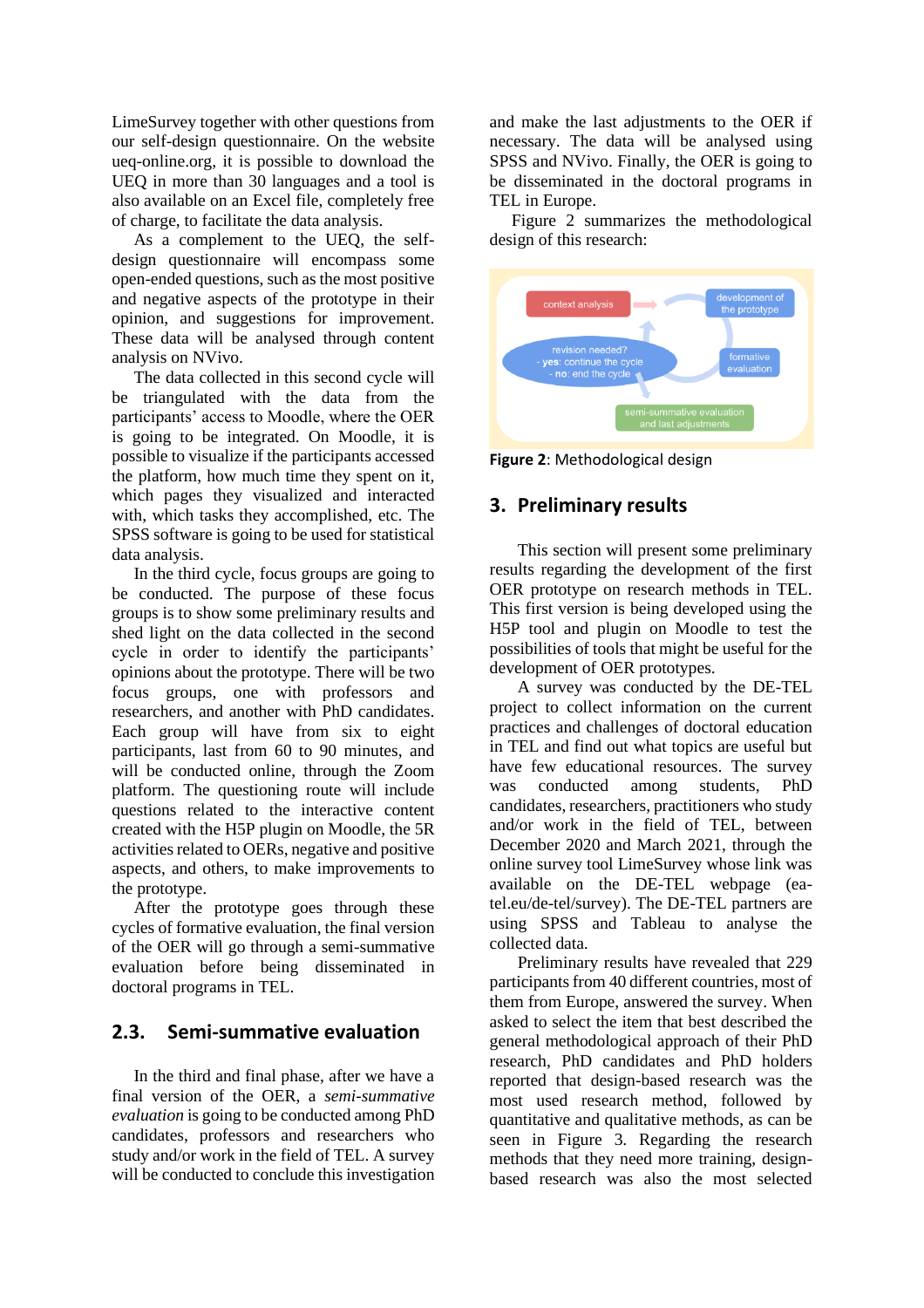LimeSurvey together with other questions from our self-design questionnaire. On the website ueq-online.org, it is possible to download the UEQ in more than 30 languages and a tool is also available on an Excel file, completely free of charge, to facilitate the data analysis.

As a complement to the UEQ, the selfdesign questionnaire will encompass some open-ended questions, such as the most positive and negative aspects of the prototype in their opinion, and suggestions for improvement. These data will be analysed through content analysis on NVivo.

The data collected in this second cycle will be triangulated with the data from the participants' access to Moodle, where the OER is going to be integrated. On Moodle, it is possible to visualize if the participants accessed the platform, how much time they spent on it, which pages they visualized and interacted with, which tasks they accomplished, etc. The SPSS software is going to be used for statistical data analysis.

In the third cycle, focus groups are going to be conducted. The purpose of these focus groups is to show some preliminary results and shed light on the data collected in the second cycle in order to identify the participants' opinions about the prototype. There will be two focus groups, one with professors and researchers, and another with PhD candidates. Each group will have from six to eight participants, last from 60 to 90 minutes, and will be conducted online, through the Zoom platform. The questioning route will include questions related to the interactive content created with the H5P plugin on Moodle, the 5R activities related to OERs, negative and positive aspects, and others, to make improvements to the prototype.

After the prototype goes through these cycles of formative evaluation, the final version of the OER will go through a semi-summative evaluation before being disseminated in doctoral programs in TEL.

# **2.3. Semi-summative evaluation**

In the third and final phase, after we have a final version of the OER, a *semi-summative evaluation* is going to be conducted among PhD candidates, professors and researchers who study and/or work in the field of TEL. A survey will be conducted to conclude this investigation

and make the last adjustments to the OER if necessary. The data will be analysed using SPSS and NVivo. Finally, the OER is going to be disseminated in the doctoral programs in TEL in Europe.

Figure 2 summarizes the methodological design of this research:



**Figure 2**: Methodological design

# **3. Preliminary results**

This section will present some preliminary results regarding the development of the first OER prototype on research methods in TEL. This first version is being developed using the H5P tool and plugin on Moodle to test the possibilities of tools that might be useful for the development of OER prototypes.

A survey was conducted by the DE-TEL project to collect information on the current practices and challenges of doctoral education in TEL and find out what topics are useful but have few educational resources. The survey was conducted among students, PhD candidates, researchers, practitioners who study and/or work in the field of TEL, between December 2020 and March 2021, through the online survey tool LimeSurvey whose link was available on the DE-TEL webpage (eatel.eu/de-tel/survey). The DE-TEL partners are using SPSS and Tableau to analyse the collected data.

Preliminary results have revealed that 229 participants from 40 different countries, most of them from Europe, answered the survey. When asked to select the item that best described the general methodological approach of their PhD research, PhD candidates and PhD holders reported that design-based research was the most used research method, followed by quantitative and qualitative methods, as can be seen in Figure 3. Regarding the research methods that they need more training, designbased research was also the most selected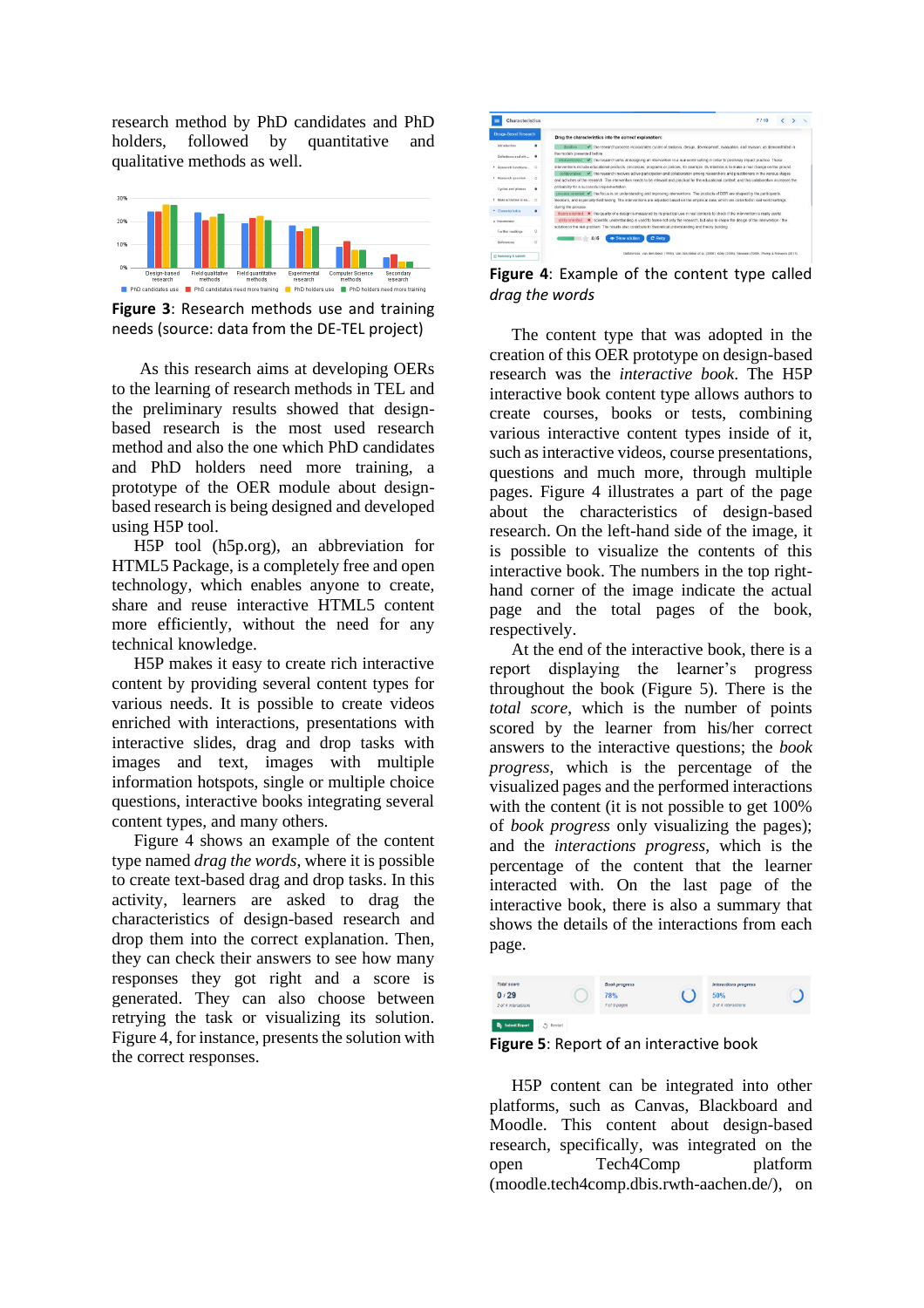research method by PhD candidates and PhD<br>holders, followed by quantitative and holders, followed by quantitative and qualitative methods as well.



**Figure 3**: Research methods use and training needs (source: data from the DE-TEL project)

As this research aims at developing OERs to the learning of research methods in TEL and the preliminary results showed that designbased research is the most used research method and also the one which PhD candidates and PhD holders need more training, a prototype of the OER module about designbased research is being designed and developed using H5P tool.

H5P tool (h5p.org), an abbreviation for HTML5 Package, is a completely free and open technology, which enables anyone to create, share and reuse interactive HTML5 content more efficiently, without the need for any technical knowledge.

H5P makes it easy to create rich interactive content by providing several content types for various needs. It is possible to create videos enriched with interactions, presentations with interactive slides, drag and drop tasks with images and text, images with multiple information hotspots, single or multiple choice questions, interactive books integrating several content types, and many others.

Figure 4 shows an example of the content type named *drag the words*, where it is possible to create text-based drag and drop tasks. In this activity, learners are asked to drag the characteristics of design-based research and drop them into the correct explanation. Then, they can check their answers to see how many responses they got right and a score is generated. They can also choose between retrying the task or visualizing its solution. Figure 4, for instance, presents the solution with the correct responses.



**Figure 4**: Example of the content type called *drag the words*

The content type that was adopted in the creation of this OER prototype on design-based research was the *interactive book*. The H5P interactive book content type allows authors to create courses, books or tests, combining various interactive content types inside of it, such as interactive videos, course presentations, questions and much more, through multiple pages. Figure 4 illustrates a part of the page about the characteristics of design-based research. On the left-hand side of the image, it is possible to visualize the contents of this interactive book. The numbers in the top righthand corner of the image indicate the actual page and the total pages of the book, respectively.

At the end of the interactive book, there is a report displaying the learner's progress throughout the book (Figure 5). There is the *total score*, which is the number of points scored by the learner from his/her correct answers to the interactive questions; the *book progress*, which is the percentage of the visualized pages and the performed interactions with the content (it is not possible to get 100% of *book progress* only visualizing the pages); and the *interactions progress*, which is the percentage of the content that the learner interacted with. On the last page of the interactive book, there is also a summary that shows the details of the interactions from each page.



**Figure 5**: Report of an interactive book

H5P content can be integrated into other platforms, such as Canvas, Blackboard and Moodle. This content about design-based research, specifically, was integrated on the open Tech4Comp platform (moodle.tech4comp.dbis.rwth-aachen.de/), on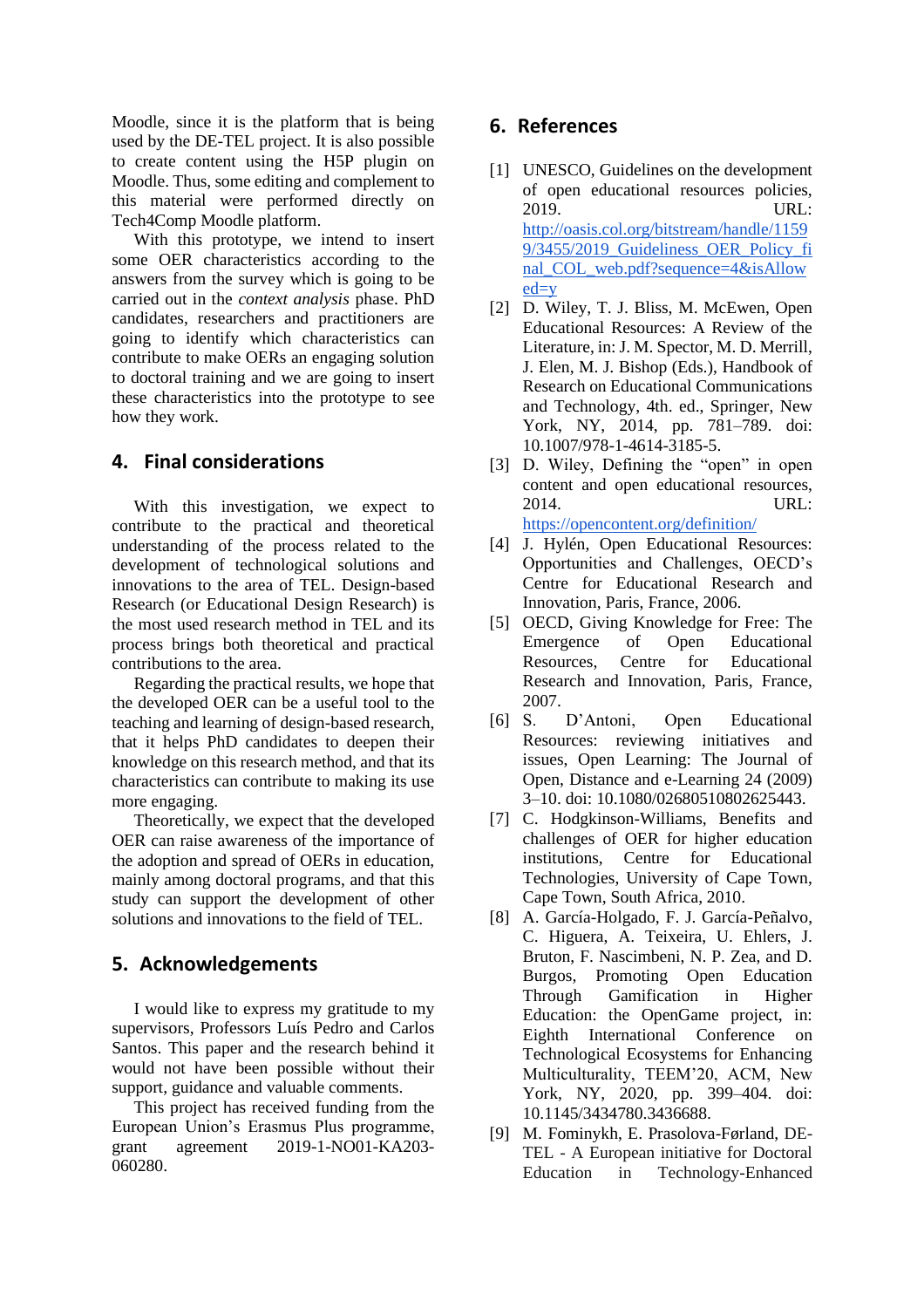Moodle, since it is the platform that is being used by the DE-TEL project. It is also possible to create content using the H5P plugin on Moodle. Thus, some editing and complement to this material were performed directly on Tech4Comp Moodle platform.

With this prototype, we intend to insert some OER characteristics according to the answers from the survey which is going to be carried out in the *context analysis* phase. PhD candidates, researchers and practitioners are going to identify which characteristics can contribute to make OERs an engaging solution to doctoral training and we are going to insert these characteristics into the prototype to see how they work.

### **4. Final considerations**

With this investigation, we expect to contribute to the practical and theoretical understanding of the process related to the development of technological solutions and innovations to the area of TEL. Design-based Research (or Educational Design Research) is the most used research method in TEL and its process brings both theoretical and practical contributions to the area.

Regarding the practical results, we hope that the developed OER can be a useful tool to the teaching and learning of design-based research, that it helps PhD candidates to deepen their knowledge on this research method, and that its characteristics can contribute to making its use more engaging.

Theoretically, we expect that the developed OER can raise awareness of the importance of the adoption and spread of OERs in education, mainly among doctoral programs, and that this study can support the development of other solutions and innovations to the field of TEL.

# **5. Acknowledgements**

I would like to express my gratitude to my supervisors, Professors Luís Pedro and Carlos Santos. This paper and the research behind it would not have been possible without their support, guidance and valuable comments.

This project has received funding from the European Union's Erasmus Plus programme, grant agreement 2019-1-NO01-KA203- 060280.

# **6. References**

- [1] UNESCO, Guidelines on the development of open educational resources policies, 2019. URL: [http://oasis.col.org/bitstream/handle/1159](http://oasis.col.org/bitstream/handle/11599/3455/2019_Guideliness_OER_Policy_final_COL_web.pdf?sequence=4&isAllowed=y) [9/3455/2019\\_Guideliness\\_OER\\_Policy\\_fi](http://oasis.col.org/bitstream/handle/11599/3455/2019_Guideliness_OER_Policy_final_COL_web.pdf?sequence=4&isAllowed=y) [nal\\_COL\\_web.pdf?sequence=4&isAllow](http://oasis.col.org/bitstream/handle/11599/3455/2019_Guideliness_OER_Policy_final_COL_web.pdf?sequence=4&isAllowed=y) [ed=y](http://oasis.col.org/bitstream/handle/11599/3455/2019_Guideliness_OER_Policy_final_COL_web.pdf?sequence=4&isAllowed=y)
- [2] D. Wiley, T. J. Bliss, M. McEwen, Open Educational Resources: A Review of the Literature, in: J. M. Spector, M. D. Merrill, J. Elen, M. J. Bishop (Eds.), Handbook of Research on Educational Communications and Technology, 4th. ed., Springer, New York, NY, 2014, pp. 781–789. doi: 10.1007/978-1-4614-3185-5.
- [3] D. Wiley, Defining the "open" in open content and open educational resources, 2014. URL: <https://opencontent.org/definition/>
- [4] J. Hylén, Open Educational Resources: Opportunities and Challenges, OECD's Centre for Educational Research and Innovation, Paris, France, 2006.
- [5] OECD, [Giving Knowledge for Free: The](http://www.oecd.org/dataoecd/35/7/38654317.pdf)  [Emergence of Open Educational](http://www.oecd.org/dataoecd/35/7/38654317.pdf)  [Resources,](http://www.oecd.org/dataoecd/35/7/38654317.pdf) Centre for Educational Research and Innovation, Paris, France, 2007.
- [6] S. D'Antoni, Open Educational Resources: reviewing initiatives and issues, Open Learning: The Journal of Open, Distance and e-Learning 24 (2009) 3–10. doi: 10.1080/02680510802625443.
- [7] C. Hodgkinson-Williams, Benefits and challenges of OER for higher education institutions, Centre for Educational Technologies, University of Cape Town, Cape Town, South Africa, 2010.
- [8] A. García-Holgado, F. J. García-Peñalvo, C. Higuera, A. Teixeira, U. Ehlers, J. Bruton, F. Nascimbeni, N. P. Zea, and D. Burgos, Promoting Open Education Through Gamification in Higher Education: the OpenGame project, in: Eighth International Conference on Technological Ecosystems for Enhancing Multiculturality, TEEM'20, ACM, New York, NY, 2020, pp. 399–404. doi: 10.1145/3434780.3436688.
- [9] M. Fominykh, E. Prasolova-Førland, DE-TEL - A European initiative for Doctoral Education in Technology-Enhanced